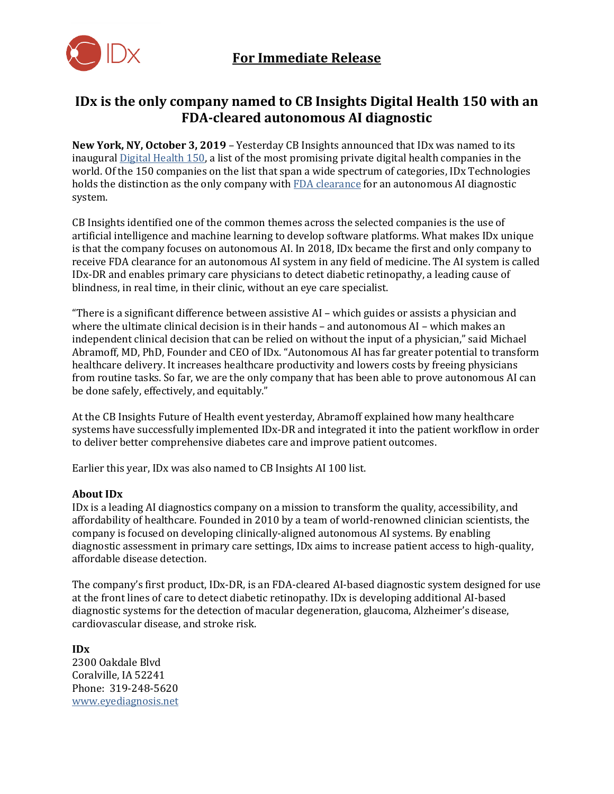

## **IDx is the only company named to CB Insights Digital Health 150 with an FDA-cleared autonomous AI diagnostic**

**New York, NY, October 3, 2019** – Yesterday CB Insights announced that IDx was named to its inaugura[l Digital Health 150,](https://www.cbinsights.com/research/digital-health-startups-redefining-healthcare) a list of the most promising private digital health companies in the world. Of the 150 companies on the list that span a wide spectrum of categories, IDx Technologies holds the distinction as the only company with [FDA clearance](https://www.fda.gov/news-events/press-announcements/fda-permits-marketing-artificial-intelligence-based-device-detect-certain-diabetes-related-eye) for an autonomous AI diagnostic system.

CB Insights identified one of the common themes across the selected companies is the use of artificial intelligence and machine learning to develop software platforms. What makes IDx unique is that the company focuses on autonomous AI. In 2018, IDx became the first and only company to receive FDA clearance for an autonomous AI system in any field of medicine. The AI system is called IDx-DR and enables primary care physicians to detect diabetic retinopathy, a leading cause of blindness, in real time, in their clinic, without an eye care specialist.

"There is a significant difference between assistive AI – which guides or assists a physician and where the ultimate clinical decision is in their hands – and autonomous AI – which makes an independent clinical decision that can be relied on without the input of a physician," said Michael Abramoff, MD, PhD, Founder and CEO of IDx. "Autonomous AI has far greater potential to transform healthcare delivery. It increases healthcare productivity and lowers costs by freeing physicians from routine tasks. So far, we are the only company that has been able to prove autonomous AI can be done safely, effectively, and equitably."

At the CB Insights Future of Health event yesterday, Abramoff explained how many healthcare systems have successfully implemented IDx-DR and integrated it into the patient workflow in order to deliver better comprehensive diabetes care and improve patient outcomes.

Earlier this year, IDx was also named to CB Insights AI 100 list.

## **About IDx**

IDx is a leading AI diagnostics company on a mission to transform the quality, accessibility, and affordability of healthcare. Founded in 2010 by a team of world-renowned clinician scientists, the company is focused on developing clinically-aligned autonomous AI systems. By enabling diagnostic assessment in primary care settings, IDx aims to increase patient access to high-quality, affordable disease detection.

The company's first product, IDx-DR, is an FDA-cleared AI-based diagnostic system designed for use at the front lines of care to detect diabetic retinopathy. IDx is developing additional AI-based diagnostic systems for the detection of macular degeneration, glaucoma, Alzheimer's disease, cardiovascular disease, and stroke risk.

**IDx** 2300 Oakdale Blvd Coralville, IA 52241 Phone: 319-248-5620 [www.eyediagnosis.net](http://www.eyediagnosis.net/)